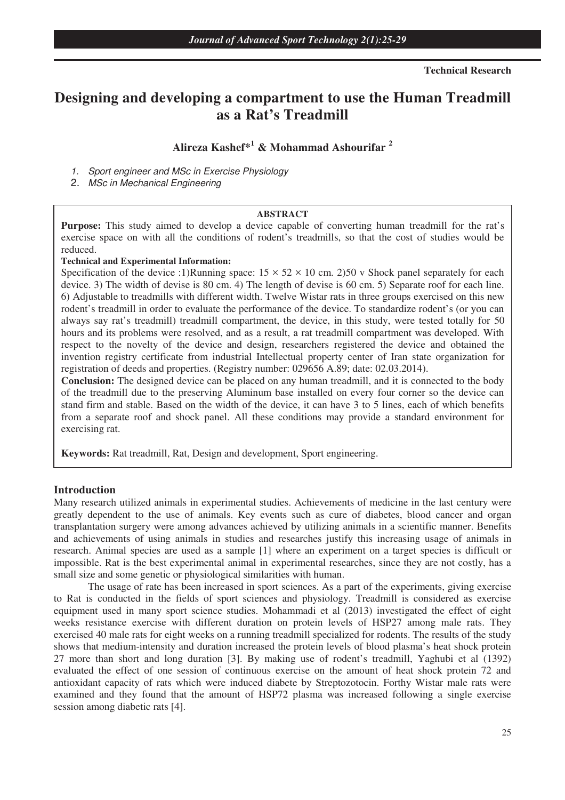**Technical Research** 

# **Designing and developing a compartment to use the Human Treadmill as a Rat's Treadmill**

## **Alireza Kashef\*<sup>1</sup> & Mohammad Ashourifar <sup>2</sup>**

1. Sport engineer and MSc in Exercise Physiology

2. MSc in Mechanical Engineering

#### **ABSTRACT**

**Purpose:** This study aimed to develop a device capable of converting human treadmill for the rat's exercise space on with all the conditions of rodent's treadmills, so that the cost of studies would be reduced.

#### **Technical and Experimental Information:**

Specification of the device :1)Running space:  $15 \times 52 \times 10$  cm. 2)50 v Shock panel separately for each device. 3) The width of devise is 80 cm. 4) The length of devise is 60 cm. 5) Separate roof for each line. 6) Adjustable to treadmills with different width. Twelve Wistar rats in three groups exercised on this new rodent's treadmill in order to evaluate the performance of the device. To standardize rodent's (or you can always say rat's treadmill) treadmill compartment, the device, in this study, were tested totally for 50 hours and its problems were resolved, and as a result, a rat treadmill compartment was developed. With respect to the novelty of the device and design, researchers registered the device and obtained the invention registry certificate from industrial Intellectual property center of Iran state organization for registration of deeds and properties. (Registry number: 029656 A.89; date: 02.03.2014).

**Conclusion:** The designed device can be placed on any human treadmill, and it is connected to the body of the treadmill due to the preserving Aluminum base installed on every four corner so the device can stand firm and stable. Based on the width of the device, it can have 3 to 5 lines, each of which benefits from a separate roof and shock panel. All these conditions may provide a standard environment for exercising rat.

**Keywords:** Rat treadmill, Rat, Design and development, Sport engineering.

#### **Introduction**

Many research utilized animals in experimental studies. Achievements of medicine in the last century were greatly dependent to the use of animals. Key events such as cure of diabetes, blood cancer and organ transplantation surgery were among advances achieved by utilizing animals in a scientific manner. Benefits and achievements of using animals in studies and researches justify this increasing usage of animals in research. Animal species are used as a sample [1] where an experiment on a target species is difficult or impossible. Rat is the best experimental animal in experimental researches, since they are not costly, has a small size and some genetic or physiological similarities with human.

The usage of rate has been increased in sport sciences. As a part of the experiments, giving exercise to Rat is conducted in the fields of sport sciences and physiology. Treadmill is considered as exercise equipment used in many sport science studies. Mohammadi et al (2013) investigated the effect of eight weeks resistance exercise with different duration on protein levels of HSP27 among male rats. They exercised 40 male rats for eight weeks on a running treadmill specialized for rodents. The results of the study shows that medium-intensity and duration increased the protein levels of blood plasma's heat shock protein 27 more than short and long duration [3]. By making use of rodent's treadmill, Yaghubi et al (1392) evaluated the effect of one session of continuous exercise on the amount of heat shock protein 72 and antioxidant capacity of rats which were induced diabete by Streptozotocin. Forthy Wistar male rats were examined and they found that the amount of HSP72 plasma was increased following a single exercise session among diabetic rats [4].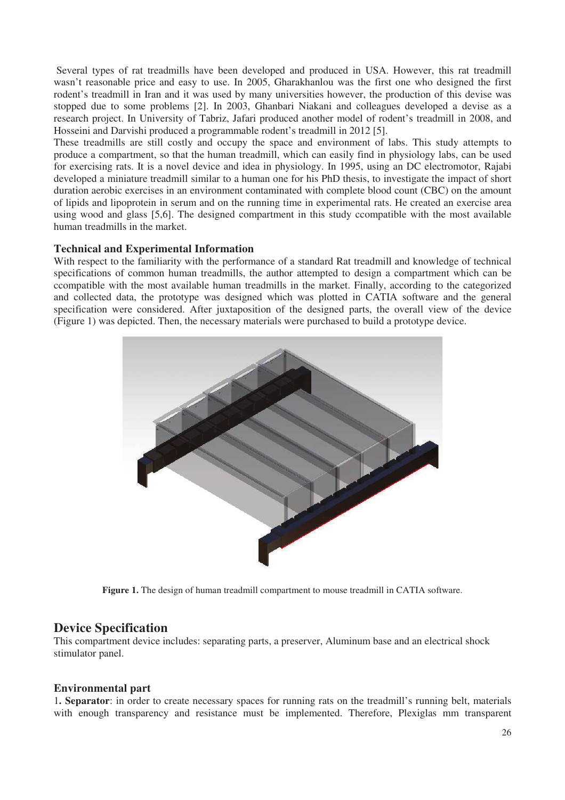Several types of rat treadmills have been developed and produced in USA. However, this rat treadmill wasn't reasonable price and easy to use. In 2005, Gharakhanlou was the first one who designed the first rodent's treadmill in Iran and it was used by many universities however, the production of this devise was stopped due to some problems [2]. In 2003, Ghanbari Niakani and colleagues developed a devise as a research project. In University of Tabriz, Jafari produced another model of rodent's treadmill in 2008, and Hosseini and Darvishi produced a programmable rodent's treadmill in 2012 [5].

These treadmills are still costly and occupy the space and environment of labs. This study attempts to produce a compartment, so that the human treadmill, which can easily find in physiology labs, can be used for exercising rats. It is a novel device and idea in physiology. In 1995, using an DC electromotor, Rajabi developed a miniature treadmill similar to a human one for his PhD thesis, to investigate the impact of short duration aerobic exercises in an environment contaminated with complete blood count (CBC) on the amount of lipids and lipoprotein in serum and on the running time in experimental rats. He created an exercise area using wood and glass [5,6]. The designed compartment in this study ccompatible with the most available human treadmills in the market.

### **Technical and Experimental Information**

With respect to the familiarity with the performance of a standard Rat treadmill and knowledge of technical specifications of common human treadmills, the author attempted to design a compartment which can be ccompatible with the most available human treadmills in the market. Finally, according to the categorized and collected data, the prototype was designed which was plotted in CATIA software and the general specification were considered. After juxtaposition of the designed parts, the overall view of the device (Figure 1) was depicted. Then, the necessary materials were purchased to build a prototype device.



**Figure 1.** The design of human treadmill compartment to mouse treadmill in CATIA software.

### **Device Specification**

This compartment device includes: separating parts, a preserver, Aluminum base and an electrical shock stimulator panel.

#### **Environmental part**

1**. Separator**: in order to create necessary spaces for running rats on the treadmill's running belt, materials with enough transparency and resistance must be implemented. Therefore, Plexiglas mm transparent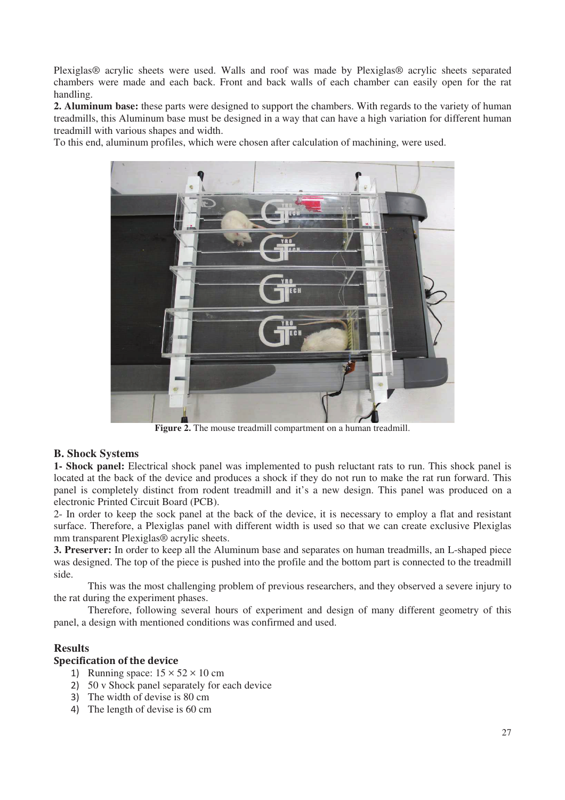Plexiglas® acrylic sheets were used. Walls and roof was made by Plexiglas® acrylic sheets separated chambers were made and each back. Front and back walls of each chamber can easily open for the rat handling.

**2. Aluminum base:** these parts were designed to support the chambers. With regards to the variety of human treadmills, this Aluminum base must be designed in a way that can have a high variation for different human treadmill with various shapes and width.

To this end, aluminum profiles, which were chosen after calculation of machining, were used.



**Figure 2.** The mouse treadmill compartment on a human treadmill.

#### **B. Shock Systems**

**1- Shock panel:** Electrical shock panel was implemented to push reluctant rats to run. This shock panel is located at the back of the device and produces a shock if they do not run to make the rat run forward. This panel is completely distinct from rodent treadmill and it's a new design. This panel was produced on a electronic Printed Circuit Board (PCB).

2- In order to keep the sock panel at the back of the device, it is necessary to employ a flat and resistant surface. Therefore, a Plexiglas panel with different width is used so that we can create exclusive Plexiglas mm transparent Plexiglas® acrylic sheets.

**3. Preserver:** In order to keep all the Aluminum base and separates on human treadmills, an L-shaped piece was designed. The top of the piece is pushed into the profile and the bottom part is connected to the treadmill side.

This was the most challenging problem of previous researchers, and they observed a severe injury to the rat during the experiment phases.

Therefore, following several hours of experiment and design of many different geometry of this panel, a design with mentioned conditions was confirmed and used.

### **Results**

### **Specification of the device**

- 1) Running space:  $15 \times 52 \times 10$  cm
- 50 v Shock panel separately for each device
- 3) The width of devise is 80 cm
- The length of devise is 60 cm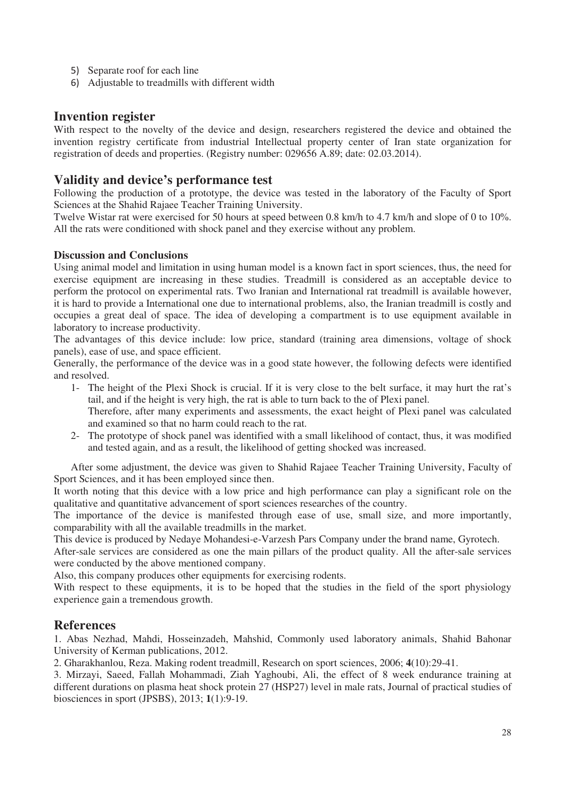- 5) Separate roof for each line
- Adjustable to treadmills with different width

## **Invention register**

With respect to the novelty of the device and design, researchers registered the device and obtained the invention registry certificate from industrial Intellectual property center of Iran state organization for registration of deeds and properties. (Registry number: 029656 A.89; date: 02.03.2014).

## **Validity and device's performance test**

Following the production of a prototype, the device was tested in the laboratory of the Faculty of Sport Sciences at the Shahid Rajaee Teacher Training University.

Twelve Wistar rat were exercised for 50 hours at speed between 0.8 km/h to 4.7 km/h and slope of 0 to 10%. All the rats were conditioned with shock panel and they exercise without any problem.

### **Discussion and Conclusions**

Using animal model and limitation in using human model is a known fact in sport sciences, thus, the need for exercise equipment are increasing in these studies. Treadmill is considered as an acceptable device to perform the protocol on experimental rats. Two Iranian and International rat treadmill is available however, it is hard to provide a International one due to international problems, also, the Iranian treadmill is costly and occupies a great deal of space. The idea of developing a compartment is to use equipment available in laboratory to increase productivity.

The advantages of this device include: low price, standard (training area dimensions, voltage of shock panels), ease of use, and space efficient.

Generally, the performance of the device was in a good state however, the following defects were identified and resolved.

- 1- The height of the Plexi Shock is crucial. If it is very close to the belt surface, it may hurt the rat's tail, and if the height is very high, the rat is able to turn back to the of Plexi panel. Therefore, after many experiments and assessments, the exact height of Plexi panel was calculated and examined so that no harm could reach to the rat.
- 2- The prototype of shock panel was identified with a small likelihood of contact, thus, it was modified and tested again, and as a result, the likelihood of getting shocked was increased.

After some adjustment, the device was given to Shahid Rajaee Teacher Training University, Faculty of Sport Sciences, and it has been employed since then.

It worth noting that this device with a low price and high performance can play a significant role on the qualitative and quantitative advancement of sport sciences researches of the country.

The importance of the device is manifested through ease of use, small size, and more importantly, comparability with all the available treadmills in the market.

This device is produced by Nedaye Mohandesi-e-Varzesh Pars Company under the brand name, Gyrotech.

After-sale services are considered as one the main pillars of the product quality. All the after-sale services were conducted by the above mentioned company.

Also, this company produces other equipments for exercising rodents.

With respect to these equipments, it is to be hoped that the studies in the field of the sport physiology experience gain a tremendous growth.

## **References**

1. Abas Nezhad, Mahdi, Hosseinzadeh, Mahshid, Commonly used laboratory animals, Shahid Bahonar University of Kerman publications, 2012.

2. Gharakhanlou, Reza. Making rodent treadmill, Research on sport sciences, 2006; **4**(10):29-41.

3. Mirzayi, Saeed, Fallah Mohammadi, Ziah Yaghoubi, Ali, the effect of 8 week endurance training at different durations on plasma heat shock protein 27 (HSP27) level in male rats, Journal of practical studies of biosciences in sport (JPSBS), 2013; **1**(1):9-19.